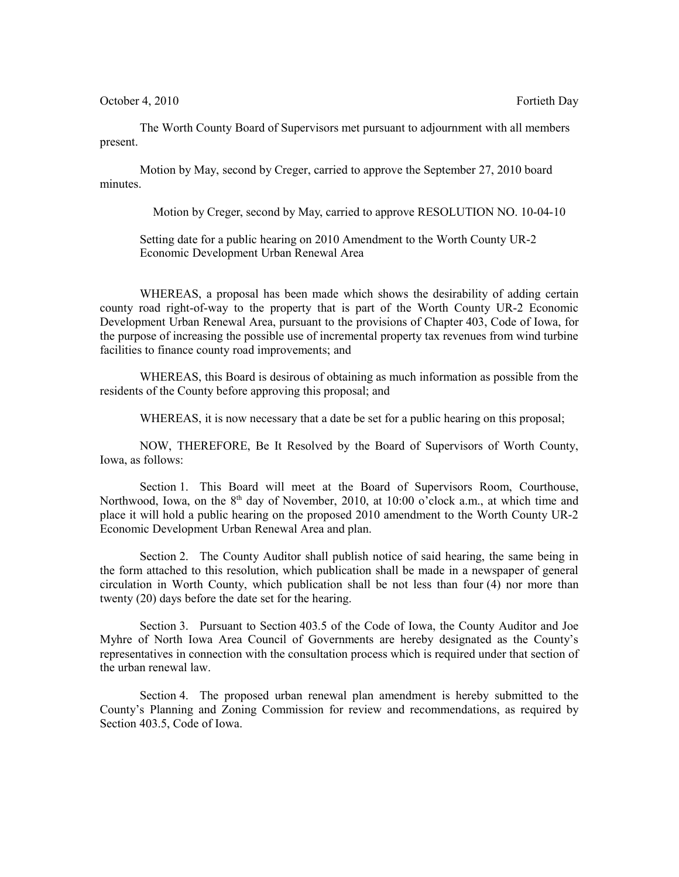October 4, 2010 Fortieth Day

The Worth County Board of Supervisors met pursuant to adjournment with all members present.

Motion by May, second by Creger, carried to approve the September 27, 2010 board minutes.

Motion by Creger, second by May, carried to approve RESOLUTION NO. 10-04-10

Setting date for a public hearing on 2010 Amendment to the Worth County UR-2 Economic Development Urban Renewal Area

WHEREAS, a proposal has been made which shows the desirability of adding certain county road right-of-way to the property that is part of the Worth County UR-2 Economic Development Urban Renewal Area, pursuant to the provisions of Chapter 403, Code of Iowa, for the purpose of increasing the possible use of incremental property tax revenues from wind turbine facilities to finance county road improvements; and

WHEREAS, this Board is desirous of obtaining as much information as possible from the residents of the County before approving this proposal; and

WHEREAS, it is now necessary that a date be set for a public hearing on this proposal;

NOW, THEREFORE, Be It Resolved by the Board of Supervisors of Worth County, Iowa, as follows:

Section 1. This Board will meet at the Board of Supervisors Room, Courthouse, Northwood, Iowa, on the  $8<sup>th</sup>$  day of November, 2010, at 10:00 o'clock a.m., at which time and place it will hold a public hearing on the proposed 2010 amendment to the Worth County UR-2 Economic Development Urban Renewal Area and plan.

Section 2. The County Auditor shall publish notice of said hearing, the same being in the form attached to this resolution, which publication shall be made in a newspaper of general circulation in Worth County, which publication shall be not less than four (4) nor more than twenty (20) days before the date set for the hearing.

Section 3. Pursuant to Section 403.5 of the Code of Iowa, the County Auditor and Joe Myhre of North Iowa Area Council of Governments are hereby designated as the County's representatives in connection with the consultation process which is required under that section of the urban renewal law.

Section 4. The proposed urban renewal plan amendment is hereby submitted to the County's Planning and Zoning Commission for review and recommendations, as required by Section 403.5, Code of Iowa.